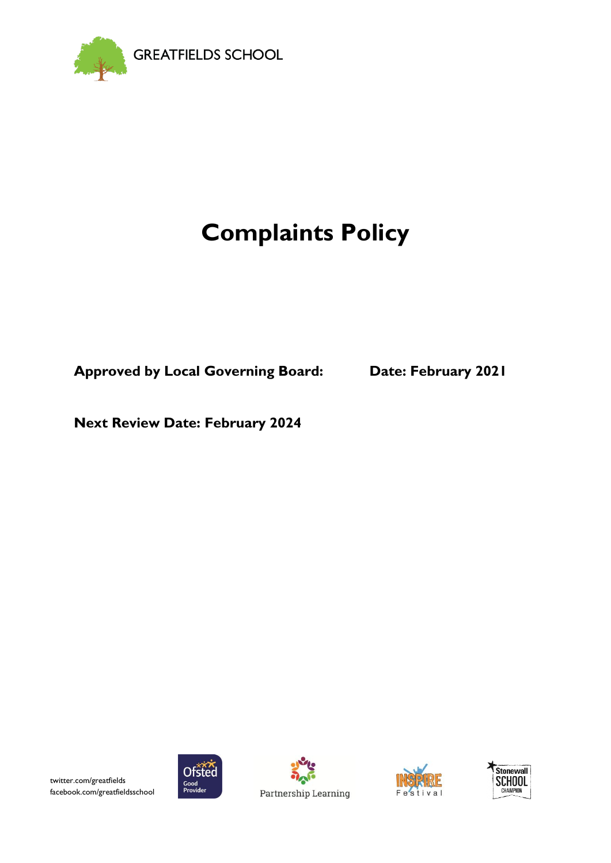

# **Complaints Policy**

**Approved by Local Governing Board: Date: February 2021**

**Next Review Date: February 2024**







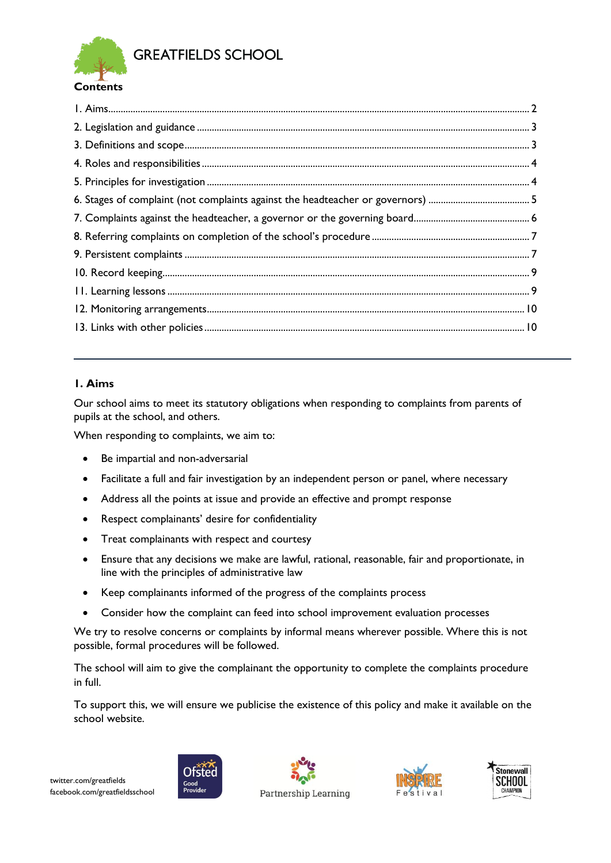

**GREATFIELDS SCHOOL** 

### <span id="page-1-0"></span>**1. Aims**

Our school aims to meet its statutory obligations when responding to complaints from parents of pupils at the school, and others.

When responding to complaints, we aim to:

- Be impartial and non-adversarial
- Facilitate a full and fair investigation by an independent person or panel, where necessary
- Address all the points at issue and provide an effective and prompt response
- Respect complainants' desire for confidentiality
- Treat complainants with respect and courtesy
- Ensure that any decisions we make are lawful, rational, reasonable, fair and proportionate, in line with the principles of administrative law
- Keep complainants informed of the progress of the complaints process
- Consider how the complaint can feed into school improvement evaluation processes

We try to resolve concerns or complaints by informal means wherever possible. Where this is not possible, formal procedures will be followed.

The school will aim to give the complainant the opportunity to complete the complaints procedure in full.

To support this, we will ensure we publicise the existence of this policy and make it available on the school website.







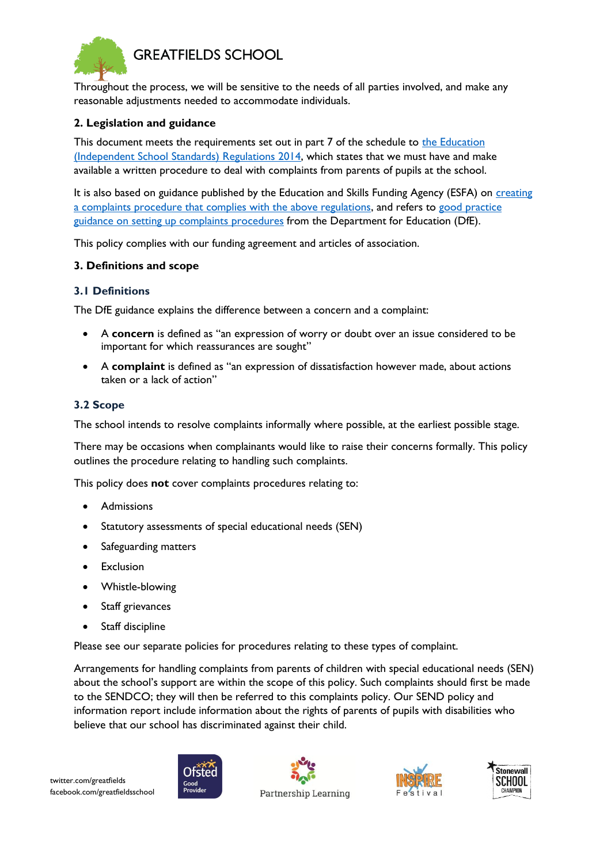

Throughout the process, we will be sensitive to the needs of all parties involved, and make any reasonable adjustments needed to accommodate individuals.

#### <span id="page-2-0"></span>**2. Legislation and guidance**

This document meets the requirements set out in part 7 of the schedule to the Education [\(Independent School Standards\) Regulations 2014,](http://www.legislation.gov.uk/uksi/2014/3283/schedule/made) which states that we must have and make available a written procedure to deal with complaints from parents of pupils at the school.

It is also based on guidance published by the Education and Skills Funding Agency (ESFA) on creating [a complaints procedure that complies with the above regulations,](https://www.gov.uk/government/publications/setting-up-an-academies-complaints-procedure) and refers to [good practice](https://www.gov.uk/government/publications/school-complaints-procedures)  [guidance on setting up complaints procedures](https://www.gov.uk/government/publications/school-complaints-procedures) from the Department for Education (DfE).

This policy complies with our funding agreement and articles of association.

#### <span id="page-2-1"></span>**3. Definitions and scope**

#### **3.1 Definitions**

The DfE guidance explains the difference between a concern and a complaint:

- A **concern** is defined as "an expression of worry or doubt over an issue considered to be important for which reassurances are sought"
- A **complaint** is defined as "an expression of dissatisfaction however made, about actions taken or a lack of action"

#### **3.2 Scope**

The school intends to resolve complaints informally where possible, at the earliest possible stage.

There may be occasions when complainants would like to raise their concerns formally. This policy outlines the procedure relating to handling such complaints.

This policy does **not** cover complaints procedures relating to:

- Admissions
- Statutory assessments of special educational needs (SEN)
- Safeguarding matters
- Exclusion
- Whistle-blowing
- Staff grievances
- Staff discipline

Please see our separate policies for procedures relating to these types of complaint.

Arrangements for handling complaints from parents of children with special educational needs (SEN) about the school's support are within the scope of this policy. Such complaints should first be made to the SENDCO; they will then be referred to this complaints policy. Our SEND policy and information report include information about the rights of parents of pupils with disabilities who believe that our school has discriminated against their child.







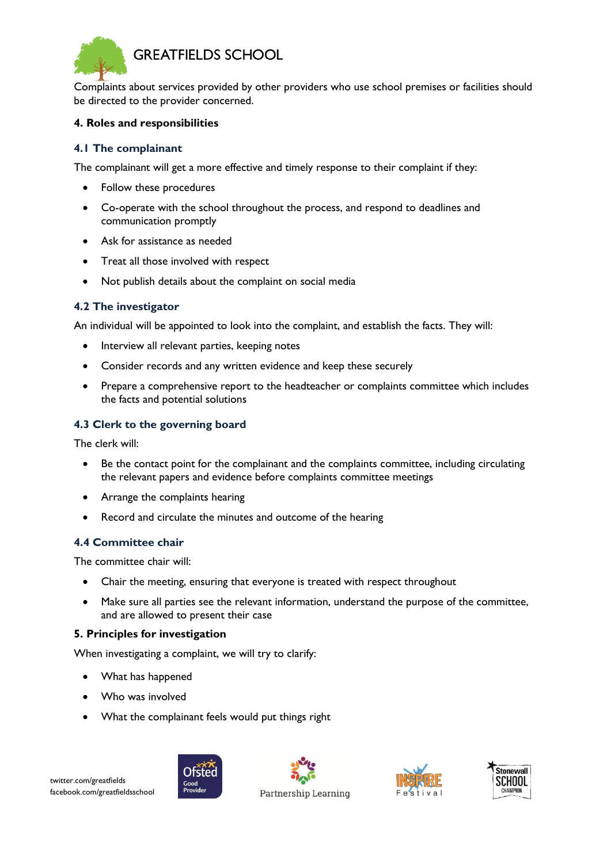

Complaints about services provided by other providers who use school premises or facilities should be directed to the provider concerned.

#### <span id="page-3-0"></span>**4. Roles and responsibilities**

#### **4.1 The complainant**

The complainant will get a more effective and timely response to their complaint if they:

- Follow these procedures
- Co-operate with the school throughout the process, and respond to deadlines and communication promptly
- Ask for assistance as needed
- Treat all those involved with respect
- Not publish details about the complaint on social media

#### **4.2 The investigator**

An individual will be appointed to look into the complaint, and establish the facts. They will:

- Interview all relevant parties, keeping notes
- Consider records and any written evidence and keep these securely
- Prepare a comprehensive report to the headteacher or complaints committee which includes the facts and potential solutions

#### **4.3 Clerk to the governing board**

The clerk will:

- Be the contact point for the complainant and the complaints committee, including circulating the relevant papers and evidence before complaints committee meetings
- Arrange the complaints hearing
- Record and circulate the minutes and outcome of the hearing

#### **4.4 Committee chair**

The committee chair will:

- Chair the meeting, ensuring that everyone is treated with respect throughout
- Make sure all parties see the relevant information, understand the purpose of the committee, and are allowed to present their case

#### <span id="page-3-1"></span>**5. Principles for investigation**

When investigating a complaint, we will try to clarify:

- What has happened
- Who was involved
- What the complainant feels would put things right







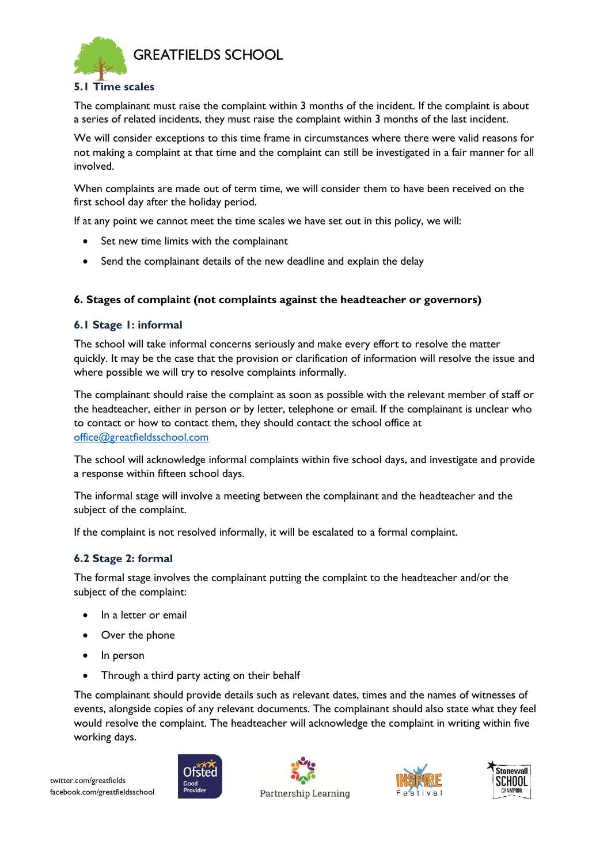

#### **5.1 Time scales**

The complainant must raise the complaint within 3 months of the incident. If the complaint is about a series of related incidents, they must raise the complaint within 3 months of the last incident.

We will consider exceptions to this time frame in circumstances where there were valid reasons for not making a complaint at that time and the complaint can still be investigated in a fair manner for all involved.

When complaints are made out of term time, we will consider them to have been received on the first school day after the holiday period.

If at any point we cannot meet the time scales we have set out in this policy, we will:

- Set new time limits with the complainant
- Send the complainant details of the new deadline and explain the delay

### <span id="page-4-0"></span>**6. Stages of complaint (not complaints against the headteacher or governors)**

#### **6.1 Stage 1: informal**

The school will take informal concerns seriously and make every effort to resolve the matter quickly. It may be the case that the provision or clarification of information will resolve the issue and where possible we will try to resolve complaints informally.

The complainant should raise the complaint as soon as possible with the relevant member of staff or the headteacher, either in person or by letter, telephone or email. If the complainant is unclear who to contact or how to contact them, they should contact the school office at [office@greatfieldsschool.com](mailto:office@greatfieldsschool.com)

The school will acknowledge informal complaints within five school days, and investigate and provide a response within fifteen school days.

The informal stage will involve a meeting between the complainant and the headteacher and the subject of the complaint.

If the complaint is not resolved informally, it will be escalated to a formal complaint.

#### **6.2 Stage 2: formal**

The formal stage involves the complainant putting the complaint to the headteacher and/or the subject of the complaint:

- In a letter or email
- Over the phone
- In person
- Through a third party acting on their behalf

The complainant should provide details such as relevant dates, times and the names of witnesses of events, alongside copies of any relevant documents. The complainant should also state what they feel would resolve the complaint. The headteacher will acknowledge the complaint in writing within five working days.







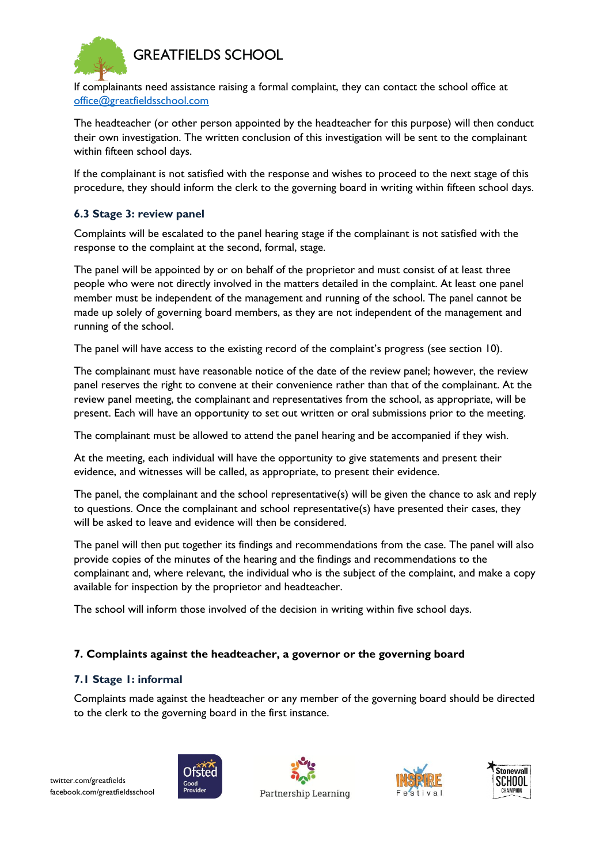# **GREATFIELDS SCHOOL**



If complainants need assistance raising a formal complaint, they can contact the school office at [office@greatfieldsschool.com](mailto:office@greatfieldsschool.com)

The headteacher (or other person appointed by the headteacher for this purpose) will then conduct their own investigation. The written conclusion of this investigation will be sent to the complainant within fifteen school days.

If the complainant is not satisfied with the response and wishes to proceed to the next stage of this procedure, they should inform the clerk to the governing board in writing within fifteen school days.

# **6.3 Stage 3: review panel**

Complaints will be escalated to the panel hearing stage if the complainant is not satisfied with the response to the complaint at the second, formal, stage.

The panel will be appointed by or on behalf of the proprietor and must consist of at least three people who were not directly involved in the matters detailed in the complaint. At least one panel member must be independent of the management and running of the school. The panel cannot be made up solely of governing board members, as they are not independent of the management and running of the school.

The panel will have access to the existing record of the complaint's progress (see section 10).

The complainant must have reasonable notice of the date of the review panel; however, the review panel reserves the right to convene at their convenience rather than that of the complainant. At the review panel meeting, the complainant and representatives from the school, as appropriate, will be present. Each will have an opportunity to set out written or oral submissions prior to the meeting.

The complainant must be allowed to attend the panel hearing and be accompanied if they wish.

At the meeting, each individual will have the opportunity to give statements and present their evidence, and witnesses will be called, as appropriate, to present their evidence.

The panel, the complainant and the school representative(s) will be given the chance to ask and reply to questions. Once the complainant and school representative(s) have presented their cases, they will be asked to leave and evidence will then be considered.

The panel will then put together its findings and recommendations from the case. The panel will also provide copies of the minutes of the hearing and the findings and recommendations to the complainant and, where relevant, the individual who is the subject of the complaint, and make a copy available for inspection by the proprietor and headteacher.

The school will inform those involved of the decision in writing within five school days.

# <span id="page-5-0"></span>**7. Complaints against the headteacher, a governor or the governing board**

#### **7.1 Stage 1: informal**

Complaints made against the headteacher or any member of the governing board should be directed to the clerk to the governing board in the first instance.









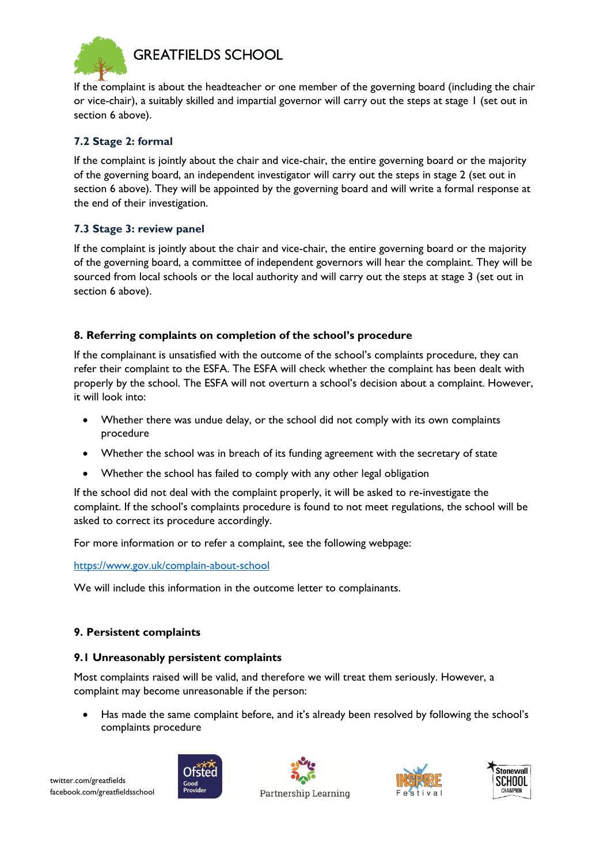

If the complaint is about the headteacher or one member of the governing board (including the chair or vice-chair), a suitably skilled and impartial governor will carry out the steps at stage 1 (set out in section 6 above).

# **7.2 Stage 2: formal**

If the complaint is jointly about the chair and vice-chair, the entire governing board or the majority of the governing board, an independent investigator will carry out the steps in stage 2 (set out in section 6 above). They will be appointed by the governing board and will write a formal response at the end of their investigation.

### **7.3 Stage 3: review panel**

If the complaint is jointly about the chair and vice-chair, the entire governing board or the majority of the governing board, a committee of independent governors will hear the complaint. They will be sourced from local schools or the local authority and will carry out the steps at stage 3 (set out in section 6 above).

# <span id="page-6-0"></span>**8. Referring complaints on completion of the school's procedure**

If the complainant is unsatisfied with the outcome of the school's complaints procedure, they can refer their complaint to the ESFA. The ESFA will check whether the complaint has been dealt with properly by the school. The ESFA will not overturn a school's decision about a complaint. However, it will look into:

- Whether there was undue delay, or the school did not comply with its own complaints procedure
- Whether the school was in breach of its funding agreement with the secretary of state
- Whether the school has failed to comply with any other legal obligation

If the school did not deal with the complaint properly, it will be asked to re-investigate the complaint. If the school's complaints procedure is found to not meet regulations, the school will be asked to correct its procedure accordingly.

For more information or to refer a complaint, see the following webpage:

#### <https://www.gov.uk/complain-about-school>

We will include this information in the outcome letter to complainants.

# <span id="page-6-1"></span>**9. Persistent complaints**

#### **9.1 Unreasonably persistent complaints**

Most complaints raised will be valid, and therefore we will treat them seriously. However, a complaint may become unreasonable if the person:

 Has made the same complaint before, and it's already been resolved by following the school's complaints procedure





Partnership Learning



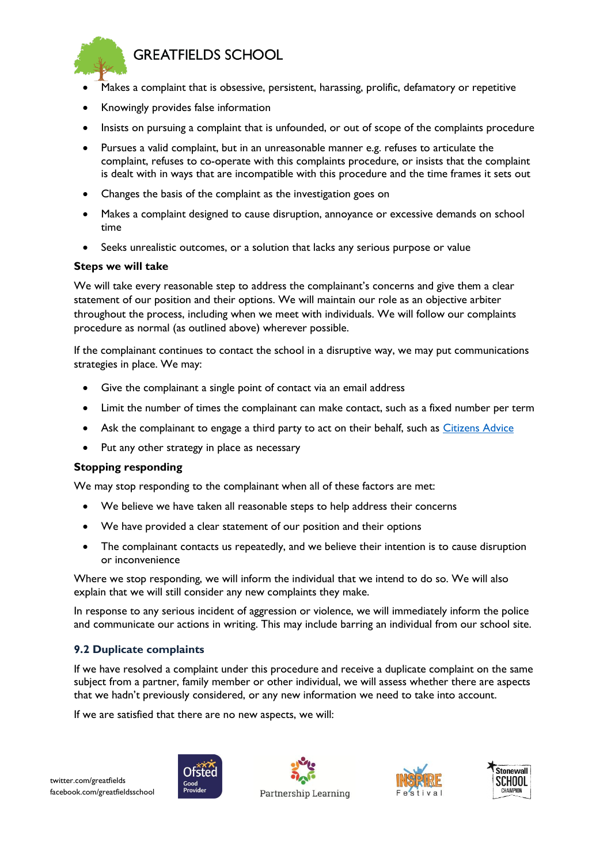

- Makes a complaint that is obsessive, persistent, harassing, prolific, defamatory or repetitive
- Knowingly provides false information
- Insists on pursuing a complaint that is unfounded, or out of scope of the complaints procedure
- Pursues a valid complaint, but in an unreasonable manner e.g. refuses to articulate the complaint, refuses to co-operate with this complaints procedure, or insists that the complaint is dealt with in ways that are incompatible with this procedure and the time frames it sets out
- Changes the basis of the complaint as the investigation goes on
- Makes a complaint designed to cause disruption, annoyance or excessive demands on school time
- Seeks unrealistic outcomes, or a solution that lacks any serious purpose or value

#### **Steps we will take**

We will take every reasonable step to address the complainant's concerns and give them a clear statement of our position and their options. We will maintain our role as an objective arbiter throughout the process, including when we meet with individuals. We will follow our complaints procedure as normal (as outlined above) wherever possible.

If the complainant continues to contact the school in a disruptive way, we may put communications strategies in place. We may:

- Give the complainant a single point of contact via an email address
- Limit the number of times the complainant can make contact, such as a fixed number per term
- Ask the complainant to engage a third party to act on their behalf, such as *Citizens Advice*
- Put any other strategy in place as necessary

#### **Stopping responding**

We may stop responding to the complainant when all of these factors are met:

- We believe we have taken all reasonable steps to help address their concerns
- We have provided a clear statement of our position and their options
- The complainant contacts us repeatedly, and we believe their intention is to cause disruption or inconvenience

Where we stop responding, we will inform the individual that we intend to do so. We will also explain that we will still consider any new complaints they make.

In response to any serious incident of aggression or violence, we will immediately inform the police and communicate our actions in writing. This may include barring an individual from our school site.

#### **9.2 Duplicate complaints**

If we have resolved a complaint under this procedure and receive a duplicate complaint on the same subject from a partner, family member or other individual, we will assess whether there are aspects that we hadn't previously considered, or any new information we need to take into account.

If we are satisfied that there are no new aspects, we will:







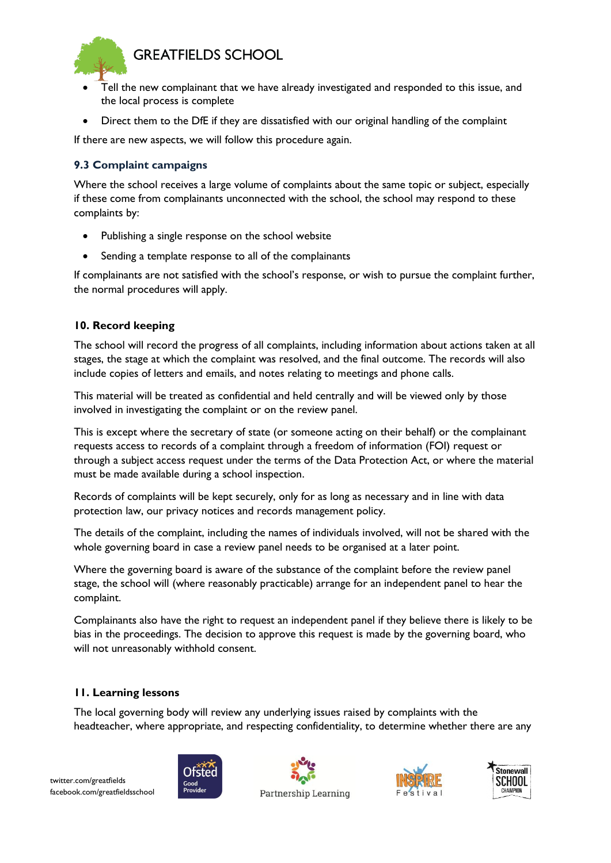



- Tell the new complainant that we have already investigated and responded to this issue, and the local process is complete
- Direct them to the DfE if they are dissatisfied with our original handling of the complaint

If there are new aspects, we will follow this procedure again.

# **9.3 Complaint campaigns**

Where the school receives a large volume of complaints about the same topic or subject, especially if these come from complainants unconnected with the school, the school may respond to these complaints by:

- Publishing a single response on the school website
- Sending a template response to all of the complainants

If complainants are not satisfied with the school's response, or wish to pursue the complaint further, the normal procedures will apply.

# <span id="page-8-0"></span>**10. Record keeping**

The school will record the progress of all complaints, including information about actions taken at all stages, the stage at which the complaint was resolved, and the final outcome. The records will also include copies of letters and emails, and notes relating to meetings and phone calls.

This material will be treated as confidential and held centrally and will be viewed only by those involved in investigating the complaint or on the review panel.

This is except where the secretary of state (or someone acting on their behalf) or the complainant requests access to records of a complaint through a freedom of information (FOI) request or through a subject access request under the terms of the Data Protection Act, or where the material must be made available during a school inspection.

Records of complaints will be kept securely, only for as long as necessary and in line with data protection law, our privacy notices and records management policy.

The details of the complaint, including the names of individuals involved, will not be shared with the whole governing board in case a review panel needs to be organised at a later point.

Where the governing board is aware of the substance of the complaint before the review panel stage, the school will (where reasonably practicable) arrange for an independent panel to hear the complaint.

Complainants also have the right to request an independent panel if they believe there is likely to be bias in the proceedings. The decision to approve this request is made by the governing board, who will not unreasonably withhold consent.

# <span id="page-8-1"></span>**11. Learning lessons**

The local governing body will review any underlying issues raised by complaints with the headteacher, where appropriate, and respecting confidentiality, to determine whether there are any





Partnership Learning



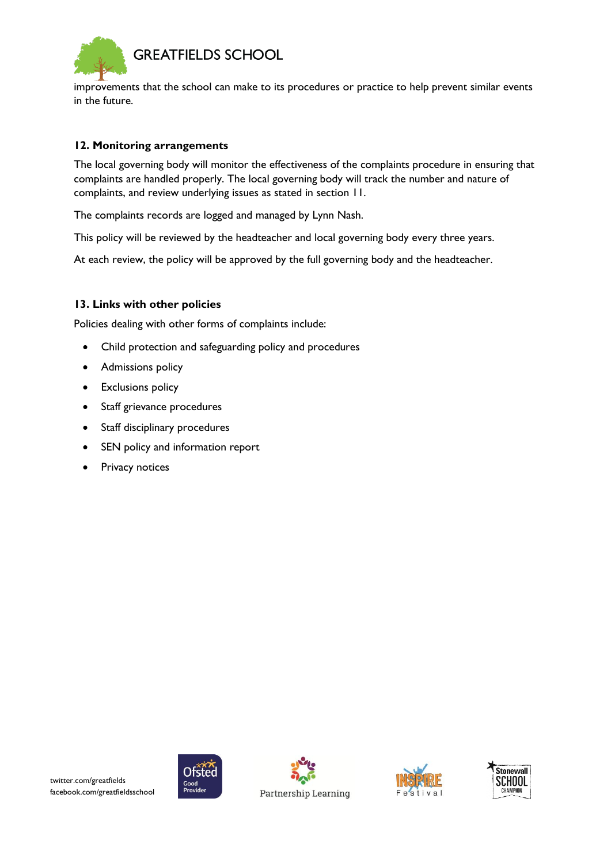

improvements that the school can make to its procedures or practice to help prevent similar events in the future.

#### <span id="page-9-0"></span>**12. Monitoring arrangements**

The local governing body will monitor the effectiveness of the complaints procedure in ensuring that complaints are handled properly. The local governing body will track the number and nature of complaints, and review underlying issues as stated in section 11.

The complaints records are logged and managed by Lynn Nash.

This policy will be reviewed by the headteacher and local governing body every three years.

At each review, the policy will be approved by the full governing body and the headteacher.

### <span id="page-9-1"></span>**13. Links with other policies**

Policies dealing with other forms of complaints include:

- Child protection and safeguarding policy and procedures
- Admissions policy
- **•** Exclusions policy
- Staff grievance procedures
- Staff disciplinary procedures
- SEN policy and information report
- Privacy notices